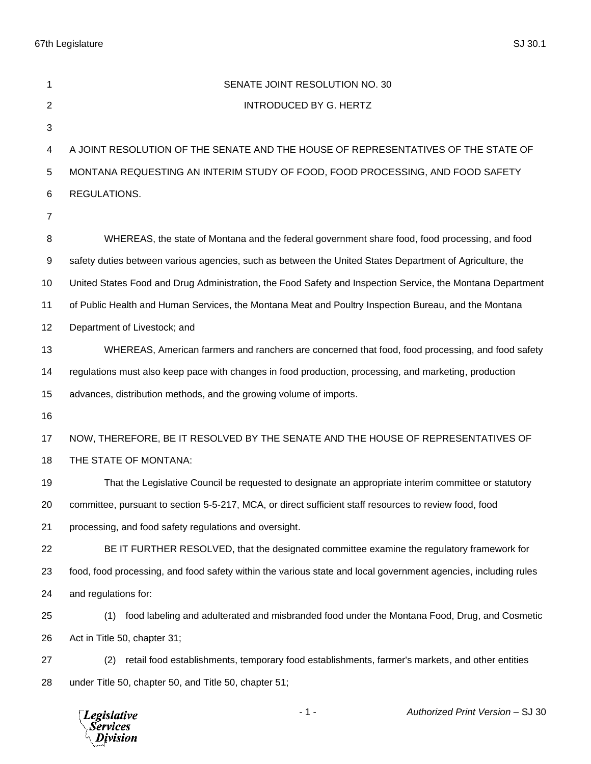67th Legislature SJ 30.1

| 1              | SENATE JOINT RESOLUTION NO. 30                                                                                 |
|----------------|----------------------------------------------------------------------------------------------------------------|
| $\overline{2}$ | <b>INTRODUCED BY G. HERTZ</b>                                                                                  |
| 3              |                                                                                                                |
| 4              | A JOINT RESOLUTION OF THE SENATE AND THE HOUSE OF REPRESENTATIVES OF THE STATE OF                              |
| 5              | MONTANA REQUESTING AN INTERIM STUDY OF FOOD, FOOD PROCESSING, AND FOOD SAFETY                                  |
| 6              | REGULATIONS.                                                                                                   |
| $\overline{7}$ |                                                                                                                |
| 8              | WHEREAS, the state of Montana and the federal government share food, food processing, and food                 |
| 9              | safety duties between various agencies, such as between the United States Department of Agriculture, the       |
| 10             | United States Food and Drug Administration, the Food Safety and Inspection Service, the Montana Department     |
| 11             | of Public Health and Human Services, the Montana Meat and Poultry Inspection Bureau, and the Montana           |
| 12             | Department of Livestock; and                                                                                   |
| 13             | WHEREAS, American farmers and ranchers are concerned that food, food processing, and food safety               |
| 14             | regulations must also keep pace with changes in food production, processing, and marketing, production         |
| 15             | advances, distribution methods, and the growing volume of imports.                                             |
| 16             |                                                                                                                |
| 17             | NOW, THEREFORE, BE IT RESOLVED BY THE SENATE AND THE HOUSE OF REPRESENTATIVES OF                               |
| 18             | THE STATE OF MONTANA:                                                                                          |
| 19             | That the Legislative Council be requested to designate an appropriate interim committee or statutory           |
| 20             | committee, pursuant to section 5-5-217, MCA, or direct sufficient staff resources to review food, food         |
| 21             | processing, and food safety regulations and oversight.                                                         |
| 22             | BE IT FURTHER RESOLVED, that the designated committee examine the regulatory framework for                     |
| 23             | food, food processing, and food safety within the various state and local government agencies, including rules |
| 24             | and regulations for:                                                                                           |
| 25             | food labeling and adulterated and misbranded food under the Montana Food, Drug, and Cosmetic<br>(1)            |
| 26             | Act in Title 50, chapter 31;                                                                                   |
| 27             | retail food establishments, temporary food establishments, farmer's markets, and other entities<br>(2)         |
| 28             | under Title 50, chapter 50, and Title 50, chapter 51;                                                          |
|                | Authorized Print Version - SJ 30<br>$-1-$<br><b>Legislative</b><br>Services<br>Division                        |